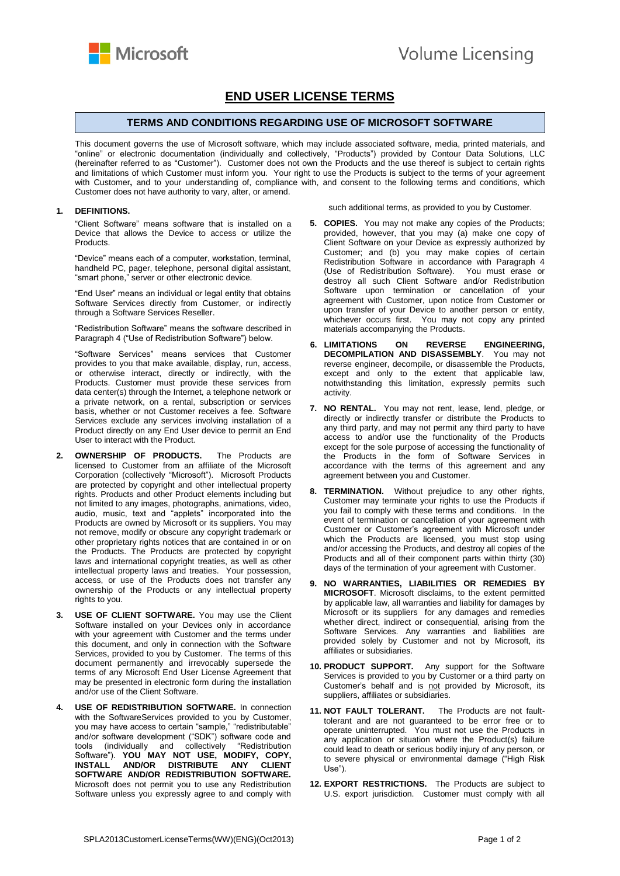

## **END USER LICENSE TERMS**

## **TERMS AND CONDITIONS REGARDING USE OF MICROSOFT SOFTWARE**

This document governs the use of Microsoft software, which may include associated software, media, printed materials, and "online" or electronic documentation (individually and collectively, "Products") provided by Contour Data Solutions, LLC (hereinafter referred to as "Customer"). Customer does not own the Products and the use thereof is subject to certain rights and limitations of which Customer must inform you. Your right to use the Products is subject to the terms of your agreement with Customer**,** and to your understanding of, compliance with, and consent to the following terms and conditions, which Customer does not have authority to vary, alter, or amend.

## **1. DEFINITIONS.**

"Client Software" means software that is installed on a Device that allows the Device to access or utilize the Products.

"Device" means each of a computer, workstation, terminal, handheld PC, pager, telephone, personal digital assistant, "smart phone," server or other electronic device.

"End User" means an individual or legal entity that obtains Software Services directly from Customer, or indirectly through a Software Services Reseller.

"Redistribution Software" means the software described in Paragraph 4 ("Use of Redistribution Software") below.

"Software Services" means services that Customer provides to you that make available, display, run, access, or otherwise interact, directly or indirectly, with the Products. Customer must provide these services from data center(s) through the Internet, a telephone network or a private network, on a rental, subscription or services basis, whether or not Customer receives a fee. Software Services exclude any services involving installation of a Product directly on any End User device to permit an End User to interact with the Product.

- **2. OWNERSHIP OF PRODUCTS.** The Products are licensed to Customer from an affiliate of the Microsoft Corporation (collectively "Microsoft"). Microsoft Products are protected by copyright and other intellectual property rights. Products and other Product elements including but not limited to any images, photographs, animations, video, audio, music, text and "applets" incorporated into the Products are owned by Microsoft or its suppliers. You may not remove, modify or obscure any copyright trademark or other proprietary rights notices that are contained in or on the Products. The Products are protected by copyright laws and international copyright treaties, as well as other intellectual property laws and treaties. Your possession, access, or use of the Products does not transfer any ownership of the Products or any intellectual property rights to you.
- **3. USE OF CLIENT SOFTWARE.** You may use the Client Software installed on your Devices only in accordance with your agreement with Customer and the terms under this document, and only in connection with the Software Services, provided to you by Customer. The terms of this document permanently and irrevocably supersede the terms of any Microsoft End User License Agreement that may be presented in electronic form during the installation and/or use of the Client Software.
- **USE OF REDISTRIBUTION SOFTWARE.** In connection with the SoftwareServices provided to you by Customer, you may have access to certain "sample," "redistributable" and/or software development ("SDK") software code and tools (individually and collectively "Redistribution Software"). **YOU MAY NOT USE, MODIFY, COPY, INSTALL AND/OR DISTRIBUTE ANY CLIENT SOFTWARE AND/OR REDISTRIBUTION SOFTWARE.**  Microsoft does not permit you to use any Redistribution Software unless you expressly agree to and comply with

such additional terms, as provided to you by Customer.

- **5. COPIES.** You may not make any copies of the Products; provided, however, that you may (a) make one copy of Client Software on your Device as expressly authorized by Customer; and (b) you may make copies of certain Redistribution Software in accordance with Paragraph 4 (Use of Redistribution Software). You must erase or destroy all such Client Software and/or Redistribution Software upon termination or cancellation of your agreement with Customer, upon notice from Customer or upon transfer of your Device to another person or entity, whichever occurs first. You may not copy any printed materials accompanying the Products.
- **6. LIMITATIONS ON REVERSE ENGINEERING, DECOMPILATION AND DISASSEMBLY**. You may not reverse engineer, decompile, or disassemble the Products, except and only to the extent that applicable law, notwithstanding this limitation, expressly permits such activity.
- **7. NO RENTAL.** You may not rent, lease, lend, pledge, or directly or indirectly transfer or distribute the Products to any third party, and may not permit any third party to have access to and/or use the functionality of the Products except for the sole purpose of accessing the functionality of the Products in the form of Software Services in accordance with the terms of this agreement and any agreement between you and Customer.
- **8. TERMINATION.** Without prejudice to any other rights, Customer may terminate your rights to use the Products if you fail to comply with these terms and conditions. In the event of termination or cancellation of your agreement with Customer or Customer's agreement with Microsoft under which the Products are licensed, you must stop using and/or accessing the Products, and destroy all copies of the Products and all of their component parts within thirty (30) days of the termination of your agreement with Customer.
- **9. NO WARRANTIES, LIABILITIES OR REMEDIES BY MICROSOFT**. Microsoft disclaims, to the extent permitted by applicable law, all warranties and liability for damages by Microsoft or its suppliers for any damages and remedies whether direct, indirect or consequential, arising from the Software Services. Any warranties and liabilities are provided solely by Customer and not by Microsoft, its affiliates or subsidiaries.
- **10. PRODUCT SUPPORT.** Any support for the Software Services is provided to you by Customer or a third party on Customer's behalf and is not provided by Microsoft, its suppliers, affiliates or subsidiaries.
- **11. NOT FAULT TOLERANT.** The Products are not faulttolerant and are not guaranteed to be error free or to operate uninterrupted. You must not use the Products in any application or situation where the Product(s) failure could lead to death or serious bodily injury of any person, or to severe physical or environmental damage ("High Risk Use").
- **12. EXPORT RESTRICTIONS.** The Products are subject to U.S. export jurisdiction. Customer must comply with all